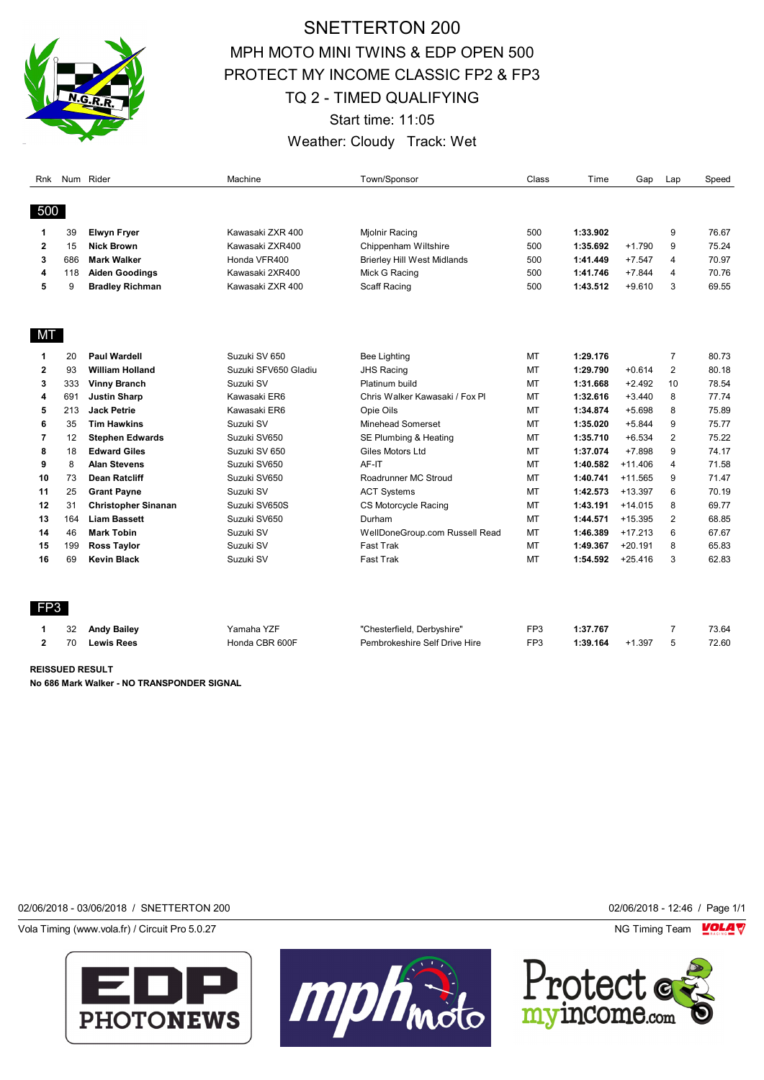

## SNETTERTON 200 MPH MOTO MINI TWINS & EDP OPEN 500 PROTECT MY INCOME CLASSIC FP2 & FP3 TQ 2 - TIMED QUALIFYING Start time: 11:05 Weather: Cloudy Track: Wet

| Rnk          |     | Num Rider                  | Machine              | Town/Sponsor                       | Class           | Time     | Gap       | Lap            | Speed |
|--------------|-----|----------------------------|----------------------|------------------------------------|-----------------|----------|-----------|----------------|-------|
|              |     |                            |                      |                                    |                 |          |           |                |       |
| 500          |     |                            |                      |                                    |                 |          |           |                |       |
| 1            | 39  | <b>Elwyn Fryer</b>         | Kawasaki ZXR 400     | Mjolnir Racing                     | 500             | 1:33.902 |           | 9              | 76.67 |
| $\mathbf{2}$ | 15  | <b>Nick Brown</b>          | Kawasaki ZXR400      | Chippenham Wiltshire               | 500             | 1:35.692 | $+1.790$  | 9              | 75.24 |
| 3            | 686 | <b>Mark Walker</b>         | Honda VFR400         | <b>Brierley Hill West Midlands</b> | 500             | 1:41.449 | $+7.547$  | 4              | 70.97 |
| 4            | 118 | <b>Aiden Goodings</b>      | Kawasaki 2XR400      | Mick G Racing                      | 500             | 1:41.746 | $+7.844$  | 4              | 70.76 |
| 5            | 9   | <b>Bradley Richman</b>     | Kawasaki ZXR 400     | Scaff Racing                       | 500             | 1:43.512 | $+9.610$  | 3              | 69.55 |
|              |     |                            |                      |                                    |                 |          |           |                |       |
| <b>MT</b>    |     |                            |                      |                                    |                 |          |           |                |       |
| 1            | 20  | <b>Paul Wardell</b>        | Suzuki SV 650        | <b>Bee Lighting</b>                | MT              | 1:29.176 |           | $\overline{7}$ | 80.73 |
| $\mathbf{2}$ | 93  | <b>William Holland</b>     | Suzuki SFV650 Gladiu | <b>JHS Racing</b>                  | MT              | 1:29.790 | $+0.614$  | $\overline{2}$ | 80.18 |
| 3            | 333 | <b>Vinny Branch</b>        | Suzuki SV            | Platinum build                     | MT              | 1:31.668 | $+2.492$  | 10             | 78.54 |
| 4            | 691 | <b>Justin Sharp</b>        | Kawasaki ER6         | Chris Walker Kawasaki / Fox Pl     | MT              | 1:32.616 | $+3.440$  | 8              | 77.74 |
| 5            | 213 | <b>Jack Petrie</b>         | Kawasaki ER6         | Opie Oils                          | MT              | 1:34.874 | $+5.698$  | 8              | 75.89 |
| 6            | 35  | <b>Tim Hawkins</b>         | Suzuki SV            | Minehead Somerset                  | MT              | 1:35.020 | $+5.844$  | 9              | 75.77 |
| 7            | 12  | <b>Stephen Edwards</b>     | Suzuki SV650         | SE Plumbing & Heating              | MT              | 1:35.710 | $+6.534$  | 2              | 75.22 |
| 8            | 18  | <b>Edward Giles</b>        | Suzuki SV 650        | Giles Motors Ltd                   | MT              | 1:37.074 | $+7.898$  | 9              | 74.17 |
| 9            | 8   | <b>Alan Stevens</b>        | Suzuki SV650         | AF-IT                              | MT              | 1:40.582 | $+11.406$ | 4              | 71.58 |
| 10           | 73  | <b>Dean Ratcliff</b>       | Suzuki SV650         | Roadrunner MC Stroud               | MT              | 1:40.741 | $+11.565$ | 9              | 71.47 |
| 11           | 25  | <b>Grant Payne</b>         | Suzuki SV            | <b>ACT Systems</b>                 | MT              | 1:42.573 | $+13.397$ | 6              | 70.19 |
| 12           | 31  | <b>Christopher Sinanan</b> | Suzuki SV650S        | CS Motorcycle Racing               | MT              | 1:43.191 | $+14.015$ | 8              | 69.77 |
| 13           | 164 | <b>Liam Bassett</b>        | Suzuki SV650         | Durham                             | MT              | 1:44.571 | $+15.395$ | $\overline{2}$ | 68.85 |
| 14           | 46  | <b>Mark Tobin</b>          | Suzuki SV            | WellDoneGroup.com Russell Read     | MT              | 1:46.389 | $+17.213$ | 6              | 67.67 |
| 15           | 199 | <b>Ross Taylor</b>         | Suzuki SV            | Fast Trak                          | MT              | 1:49.367 | $+20.191$ | 8              | 65.83 |
| 16           | 69  | <b>Kevin Black</b>         | Suzuki SV            | Fast Trak                          | MT              | 1:54.592 | $+25.416$ | 3              | 62.83 |
|              |     |                            |                      |                                    |                 |          |           |                |       |
| FP3          |     |                            |                      |                                    |                 |          |           |                |       |
| 1            | 32  | <b>Andy Bailey</b>         | Yamaha YZF           | "Chesterfield, Derbyshire"         | FP3             | 1:37.767 |           | $\overline{7}$ | 73.64 |
| $\mathbf{2}$ | 70  | <b>Lewis Rees</b>          | Honda CBR 600F       | Pembrokeshire Self Drive Hire      | FP <sub>3</sub> | 1:39.164 | $+1.397$  | 5              | 72.60 |
|              |     |                            |                      |                                    |                 |          |           |                |       |

**REISSUED RESULT No 686 Mark Walker - NO TRANSPONDER SIGNAL**

## 02/06/2018 - 03/06/2018 / SNETTERTON 200 02/06/2018 - 12:46 / Page 1/1

Vola Timing (www.vola.fr) / Circuit Pro 5.0.27 **NG Timing Team MOLA View Account Property** NG Timing Team MOLA View





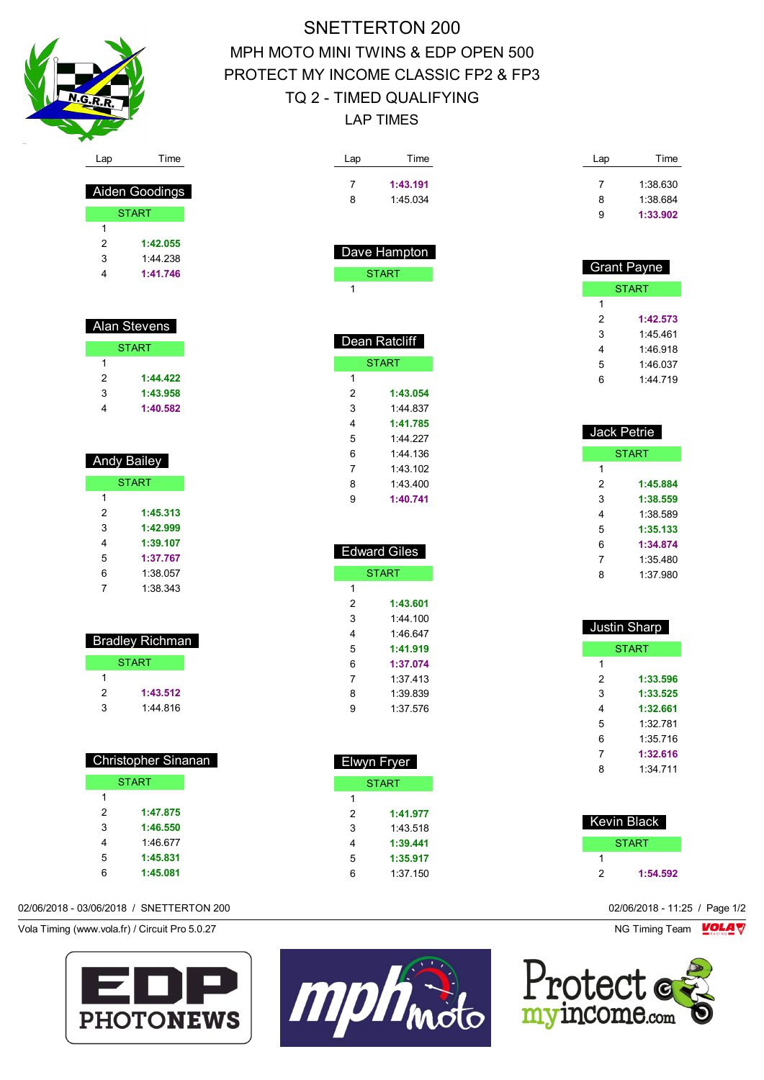

 Aiden Goodings START

 **1:42.055** 1:44.238 **1:41.746**

 Alan Stevens **START** 

> **1:44.422 1:43.958 1:40.582**

Andy Bailey

**START** 

 **1:45.313 1:42.999 1:39.107 1:37.767** 1:38.057 1:38.343

 Bradley Richman **START** 

> **1:43.512** 1:44.816

Christopher Sinanan

**START** 

 **1:47.875 1:46.550** 1:46.677 **1:45.831 1:45.081**

| SNETTERTON 200                      |  |
|-------------------------------------|--|
| MPH MOTO MINI TWINS & EDP OPEN 500  |  |
| PROTECT MY INCOME CLASSIC FP2 & FP3 |  |
| TQ 2 - TIMED QUALIFYING             |  |
| I AP TIMFS                          |  |

| Lap            | Time                | Lap                 | Time                 |
|----------------|---------------------|---------------------|----------------------|
| 7              | 1:43.191            | 7                   | 1:38.630             |
| 8              | 1:45.034            | 8                   | 1:38.684             |
|                |                     | 9                   | 1:33.902             |
|                | Dave Hampton        |                     |                      |
|                | <b>START</b>        |                     | <b>Grant Payne</b>   |
| 1              |                     |                     | <b>START</b>         |
|                |                     | 1<br>$\overline{2}$ |                      |
|                |                     |                     | 1:42.573             |
|                | Dean Ratcliff       | 3<br>4              | 1:45.461             |
|                | <b>START</b>        |                     | 1:46.918             |
| 1              |                     | 5<br>6              | 1:46.037<br>1:44.719 |
| $\overline{2}$ | 1:43.054            |                     |                      |
| 3              | 1:44.837            |                     |                      |
| 4              | 1:41.785            |                     |                      |
| 5              | 1:44.227            | Jack Petrie         |                      |
| 6              | 1:44.136            |                     | <b>START</b>         |
| $\overline{7}$ | 1:43.102            | 1                   |                      |
| 8              | 1:43.400            | $\overline{2}$      | 1:45.884             |
| 9              | 1:40.741            | 3                   | 1:38.559             |
|                |                     | 4                   | 1:38.589             |
|                |                     | 5                   | 1:35.133             |
|                |                     | 6                   | 1:34.874             |
|                | <b>Edward Giles</b> | 7                   | 1:35.480             |
|                | <b>START</b>        | 8                   | 1:37.980             |
| 1              |                     |                     |                      |
| $\overline{2}$ | 1:43.601            |                     |                      |
| 3              | 1:44.100            |                     | <b>Justin Sharp</b>  |
| 4              | 1:46.647            |                     |                      |
| 5              | 1:41.919            |                     | <b>START</b>         |
| 6              | 1:37.074            | 1                   |                      |
| 7              | 1:37.413            | 2                   | 1:33.596             |
| 8              | 1:39.839            | 3                   | 1:33.525             |
| 9              | 1:37.576            | 4                   | 1:32.661             |
|                |                     | 5                   | 1:32.781             |
|                |                     | 6<br>7              | 1:35.716             |
|                | Elwyn Fryer         | 8                   | 1:32.616<br>1:34.711 |
|                | <b>START</b>        |                     |                      |
| 1              |                     |                     |                      |
| $\overline{2}$ | 1:41.977            |                     |                      |
| 3              | 1:43.518            |                     | Kevin Black          |
| 4              | 1:39.441            |                     | <b>START</b>         |

|  | 02/06/2018 - 03/06/2018 / SNETTERTON 200 |
|--|------------------------------------------|

Vola Timing (www.vola.fr) / Circuit Pro 5.0.27 NG Timing Team VOLA V





 **1:35.917** 1:37.150

**1:54.592**

02/06/2018 - 11:25 / Page 1/2